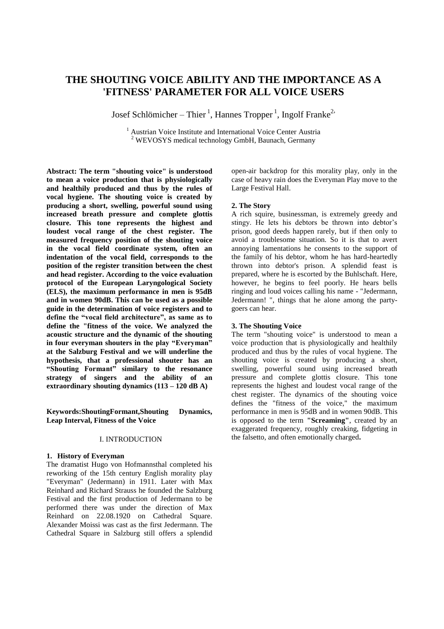# **THE SHOUTING VOICE ABILITY AND THE IMPORTANCE AS A 'FITNESS' PARAMETER FOR ALL VOICE USERS**

Josef Schlömicher – Thier<sup>1</sup>, Hannes Tropper<sup>1</sup>, Ingolf Franke<sup>2,</sup>

<sup>1</sup> Austrian Voice Institute and International Voice Center Austria <sup>2</sup> WEVOSYS medical technology GmbH, Baunach, Germany

**Abstract: The term "shouting voice" is understood to mean a voice production that is physiologically and healthily produced and thus by the rules of vocal hygiene. The shouting voice is created by producing a short, swelling, powerful sound using increased breath pressure and complete glottis closure. This tone represents the highest and loudest vocal range of the chest register. The measured frequency position of the shouting voice in the vocal field coordinate system, often an indentation of the vocal field, corresponds to the position of the register transition between the chest and head register. According to the voice evaluation protocol of the European Laryngological Society (ELS), the maximum performance in men is 95dB and in women 90dB. This can be used as a possible guide in the determination of voice registers and to define the "vocal field architecture", as same as to define the "fitness of the voice. We analyzed the acoustic structure and the dynamic of the shouting in four everyman shouters in the play "Everyman" at the Salzburg Festival and we will underline the hypothesis, that a professional shouter has an "Shouting Formant" similary to the resonance strategy of singers and the ability of an extraordinary shouting dynamics (113 – 120 dB A)**

## **Keywords:ShoutingFormant,Shouting Dynamics, Leap Interval, Fitness of the Voice**

## I. INTRODUCTION

## **1. History of Everyman**

The dramatist Hugo von Hofmannsthal completed his reworking of the 15th century English morality play "Everyman" (Jedermann) in 1911. Later with Max Reinhard and Richard Strauss he founded the Salzburg Festival and the first production of Jedermann to be performed there was under the direction of Max Reinhard on 22.08.1920 on Cathedral Square. Alexander Moissi was cast as the first Jedermann. The Cathedral Square in Salzburg still offers a splendid

open-air backdrop for this morality play, only in the case of heavy rain does the Everyman Play move to the Large Festival Hall.

## **2. The Story**

A rich squire, businessman, is extremely greedy and stingy. He lets his debtors be thrown into debtor's prison, good deeds happen rarely, but if then only to avoid a troublesome situation. So it is that to avert annoying lamentations he consents to the support of the family of his debtor, whom he has hard-heartedly thrown into debtor's prison. A splendid feast is prepared, where he is escorted by the Buhlschaft. Here, however, he begins to feel poorly. He hears bells ringing and loud voices calling his name - "Jedermann, Jedermann! ", things that he alone among the partygoers can hear.

## **3. The Shouting Voice**

The term "shouting voice" is understood to mean a voice production that is physiologically and healthily produced and thus by the rules of vocal hygiene. The shouting voice is created by producing a short, swelling, powerful sound using increased breath pressure and complete glottis closure. This tone represents the highest and loudest vocal range of the chest register. The dynamics of the shouting voice defines the "fitness of the voice," the maximum performance in men is 95dB and in women 90dB. This is opposed to the term **"Screaming"**, created by an exaggerated frequency, roughly creaking, fidgeting in the falsetto, and often emotionally charged**.**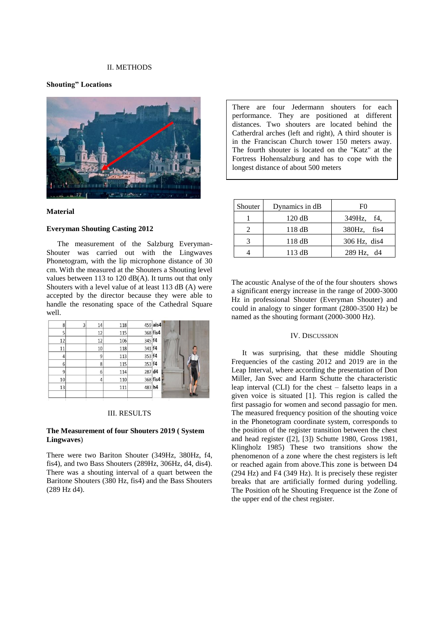#### II. METHODS

#### **Shouting" Locations**



#### **Material**

### **Everyman Shouting Casting 2012**

The measurement of the Salzburg Everyman-Shouter was carried out with the Lingwaves Phonetogram, with the lip microphone distance of 30 cm. With the measured at the Shouters a Shouting level values between 113 to 120 dB(A). It turns out that only Shouters with a level value of at least 113 dB (A) were accepted by the director because they were able to handle the resonating space of the Cathedral Square well.

| 3 | 14 | 118 | 459 ais4 |  |
|---|----|-----|----------|--|
|   | 12 | 115 | 368 fis4 |  |
|   | 12 | 106 | 345 f4   |  |
|   | 10 | 118 | 341 f4   |  |
|   | 9  | 113 | 353 f4   |  |
|   | 8  | 115 | 353 f4   |  |
|   | 6  | 114 | 287 d4   |  |
|   | 4  | 110 | 368 fis4 |  |
|   |    | 111 | 483 h4   |  |

#### III. RESULTS

## **The Measurement of four Shouters 2019 ( System Lingwaves**)

There were two Bariton Shouter (349Hz, 380Hz, f4, fis4), and two Bass Shouters (289Hz, 306Hz, d4, dis4). There was a shouting interval of a quart between the Baritone Shouters (380 Hz, fis4) and the Bass Shouters (289 Hz d4).

There are four Jedermann shouters for each performance. They are positioned at different distances. Two shouters are located behind the Catherdral arches (left and right), A third shouter is in the Franciscan Church tower 150 meters away. The fourth shouter is located on the "Katz" at the Fortress Hohensalzburg and has to cope with the longest distance of about 500 meters

| Shouter | Dynamics in dB   | FO             |
|---------|------------------|----------------|
|         | 120 dB           | 349Hz, f4,     |
|         | 118dB            | $380Hz$ , fis4 |
|         | $118 \text{ dB}$ | 306 Hz, dis4   |
|         | 113 dB           | 289 Hz, d4     |

The acoustic Analyse of the of the four shouters shows a significant energy increase in the range of 2000-3000 Hz in professional Shouter (Everyman Shouter) and could in analogy to singer formant (2800-3500 Hz) be named as the shouting formant (2000-3000 Hz).

## IV. DISCUSSION

It was surprising, that these middle Shouting Frequencies of the casting 2012 and 2019 are in the Leap Interval, where according the presentation of Don Miller, Jan Svec and Harm Schutte the characteristic leap interval (CLI) for the chest – falsetto leaps in a given voice is situated [1]. This region is called the first passagio for women and second passagio for men. The measured frequency position of the shouting voice in the Phonetogram coordinate system, corresponds to the position of the register transition between the chest and head register ([2], [3]) Schutte 1980, Gross 1981, Klingholz 1985) These two transitions show the phenomenon of a zone where the chest registers is left or reached again from above.This zone is between D4 (294 Hz) and F4 (349 Hz). It is precisely these register breaks that are artificially formed during yodelling. The Position oft he Shouting Frequence ist the Zone of the upper end of the chest register.